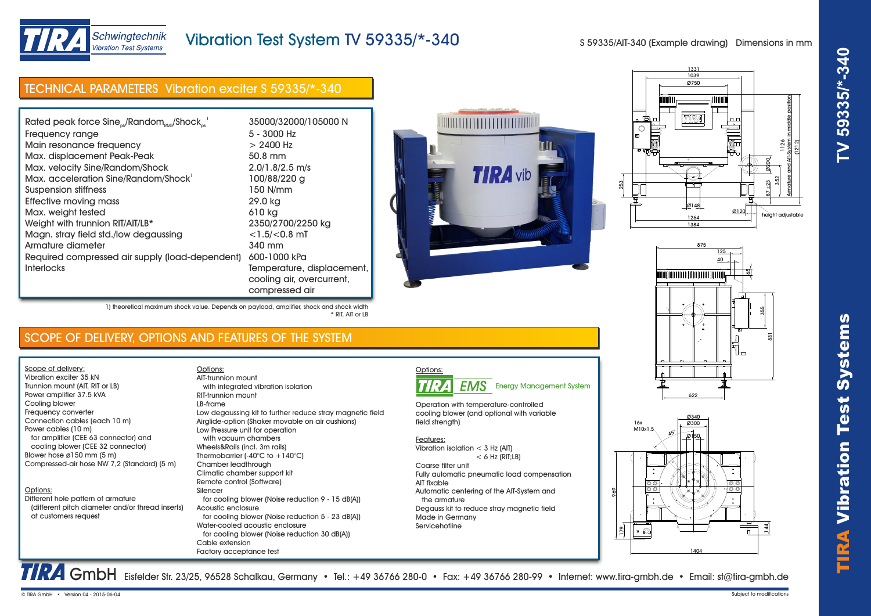

height adjustable

26 Armature and AIT-System in middle position (1212)

 $87 + 25$ 352 ø200

## Schwingtechnik **Vibration Test Systems**

## Vibration Test System TV 59335/\*-340

S 59335/AIT-340 (Example drawing) Dimensions in mm

1039 1331 Ø750

TIRA

┯

Ø148

16x  $M10x1,5$ 

 $\frac{8}{2}$ 

 $\bullet$   $\circ$ 

969

| Rated peak force $Sine_{ok}/Random_{RMS}/Shock_{ck}^{-1}$ | 35000/32000/105000 N |                 |  |
|-----------------------------------------------------------|----------------------|-----------------|--|
| Frequency range                                           | 5 - 3000 Hz          |                 |  |
| Main resonance frequency                                  | $> 2400$ Hz          |                 |  |
| Max. displacement Peak-Peak                               | 50.8 mm              |                 |  |
| Max. velocity Sine/Random/Shock                           | $2.0/1.8/2.5$ m/s    |                 |  |
| Max. acceleration Sine/Random/Shock <sup>1</sup>          | 100/88/220 g         | <b>TIRA</b> vib |  |
| <b>Suspension stiffness</b>                               | 150 N/mm             |                 |  |
| Effective moving mass                                     | 29.0 kg              |                 |  |
| Max. weight tested                                        | 610 kg               | 国               |  |
| Weight with trunnion RIT/AIT/LB*                          | 2350/2700/2250 kg    |                 |  |
| Magn. stray field std./low degaussing                     | $<$ 1.5/ $<$ 0.8 mT  |                 |  |
| Armature diameter                                         | 340 mm               |                 |  |
| Required compressed air supply (load-dependent)           | 600-1000 kPa         |                 |  |



Ø120

▌

1) theoretical maximum shock value. Depends on payload, amplifier, shock and shock width \* RIT, AIT or LB

### SCOPE OF DELIVERY, OPTIONS AND FEATURES OF THE SYSTEM

Scope of delivery: Vibration exciter 35 kN Trunnion mount (AIT, RIT or LB) Power amplifier 37.5 kVA Cooling blower Frequency converter Connection cables (each 10 m) Power cables (10 m) for amplifier (CEE 63 connector) and

# cooling blower (CEE 32 connector) Blower hose ø150 mm (5 m) Compressed-air hose NW 7,2 (Standard) (5 m)

### Options:

Different hole pattern of armature (different pitch diameter and/or thread inserts) at customers request

Options: with integrated vibration isolation RIT-trunnion mount LB-frame Low degaussing kit to further reduce stray magnetic field Airglide-option (Shaker movable on air cushions) Low Pressure unit for operation with vacuum chambers Wheels&Rails (incl. 3m rails) Thermobarrier (-40°C to +140°C) Chamber leadthrough Climatic chamber support kit Remote control (Software) Silencer for cooling blower (Noise reduction 9 - 15 dB(A)) Acoustic enclosure for cooling blower (Noise reduction 5 - 23 dB(A)) Water-cooled acoustic enclosure for cooling blower (Noise reduction 30 dB(A)) Cable extension Factory acceptance test AIT-trunnion mount

compressed air



Operation with temperature-controlled cooling blower (and optional with variable field strength)

#### Features:

Vibration isolation < 3 Hz (AIT)  $< 6$  Hz (RIT; LB)

Coarse filter unit Fully automatic pneumatic load compensation AIT fixable Automatic centering of the AIT-System and the armature Degauss kit to reduce stray magnetic field Made in Germany Servicehotline



GmbH Eisfelder Str. 23/25, 96528 Schalkau, Germany • Tel.: +49 36766 280-0 • Fax: +49 36766 280-99 • Internet: www.tira-gmbh.de • Email: st@tira-gmbh.de